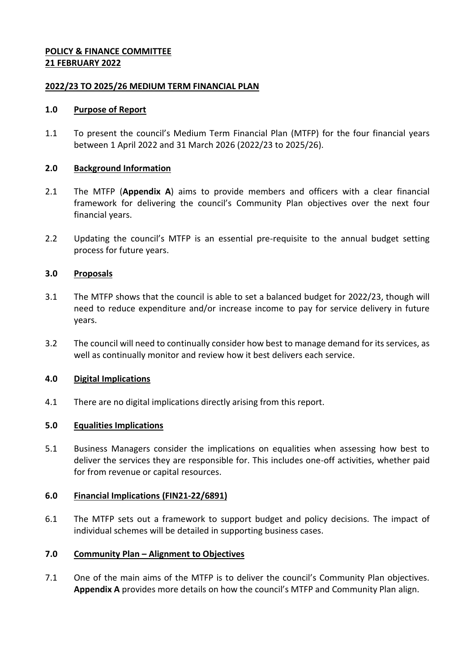# **POLICY & FINANCE COMMITTEE 21 FEBRUARY 2022**

## **2022/23 TO 2025/26 MEDIUM TERM FINANCIAL PLAN**

## **1.0 Purpose of Report**

1.1 To present the council's Medium Term Financial Plan (MTFP) for the four financial years between 1 April 2022 and 31 March 2026 (2022/23 to 2025/26).

## **2.0 Background Information**

- 2.1 The MTFP (**Appendix A**) aims to provide members and officers with a clear financial framework for delivering the council's Community Plan objectives over the next four financial years.
- 2.2 Updating the council's MTFP is an essential pre-requisite to the annual budget setting process for future years.

## **3.0 Proposals**

- 3.1 The MTFP shows that the council is able to set a balanced budget for 2022/23, though will need to reduce expenditure and/or increase income to pay for service delivery in future years.
- 3.2 The council will need to continually consider how best to manage demand for its services, as well as continually monitor and review how it best delivers each service.

## **4.0 Digital Implications**

4.1 There are no digital implications directly arising from this report.

## **5.0 Equalities Implications**

5.1 Business Managers consider the implications on equalities when assessing how best to deliver the services they are responsible for. This includes one-off activities, whether paid for from revenue or capital resources.

## **6.0 Financial Implications (FIN21-22/6891)**

6.1 The MTFP sets out a framework to support budget and policy decisions. The impact of individual schemes will be detailed in supporting business cases.

## **7.0 Community Plan – Alignment to Objectives**

7.1 One of the main aims of the MTFP is to deliver the council's Community Plan objectives. **Appendix A** provides more details on how the council's MTFP and Community Plan align.